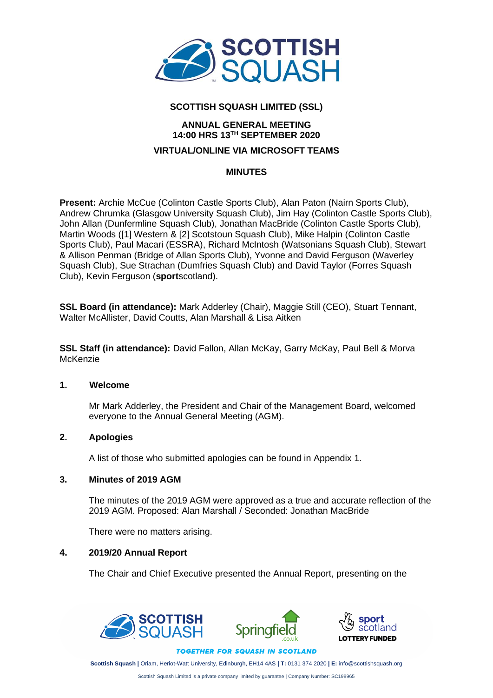

## **SCOTTISH SQUASH LIMITED (SSL)**

## **ANNUAL GENERAL MEETING 14:00 HRS 13TH SEPTEMBER 2020**

## **VIRTUAL/ONLINE VIA MICROSOFT TEAMS**

#### **MINUTES**

**Present:** Archie McCue (Colinton Castle Sports Club), Alan Paton (Nairn Sports Club), Andrew Chrumka (Glasgow University Squash Club), Jim Hay (Colinton Castle Sports Club), John Allan (Dunfermline Squash Club), Jonathan MacBride (Colinton Castle Sports Club), Martin Woods ([1] Western & [2] Scotstoun Squash Club), Mike Halpin (Colinton Castle Sports Club), Paul Macari (ESSRA), Richard McIntosh (Watsonians Squash Club), Stewart & Allison Penman (Bridge of Allan Sports Club), Yvonne and David Ferguson (Waverley Squash Club), Sue Strachan (Dumfries Squash Club) and David Taylor (Forres Squash Club), Kevin Ferguson (**sport**scotland).

**SSL Board (in attendance):** Mark Adderley (Chair), Maggie Still (CEO), Stuart Tennant, Walter McAllister, David Coutts, Alan Marshall & Lisa Aitken

**SSL Staff (in attendance):** David Fallon, Allan McKay, Garry McKay, Paul Bell & Morva McKenzie

#### **1. Welcome**

Mr Mark Adderley, the President and Chair of the Management Board, welcomed everyone to the Annual General Meeting (AGM).

## **2. Apologies**

A list of those who submitted apologies can be found in Appendix 1.

#### **3. Minutes of 2019 AGM**

The minutes of the 2019 AGM were approved as a true and accurate reflection of the 2019 AGM. Proposed: Alan Marshall / Seconded: Jonathan MacBride

There were no matters arising.

#### **4. 2019/20 Annual Report**

The Chair and Chief Executive presented the Annual Report, presenting on the



**TOGETHER FOR SQUASH IN SCOTLAND** 

**Scottish Squash |** Oriam, Heriot-Watt University, Edinburgh, EH14 4AS **| T:** 0131 374 2020 **| E:** info@scottishsquash.org

Scottish Squash Limited is a private company limited by guarantee | Company Number: SC198965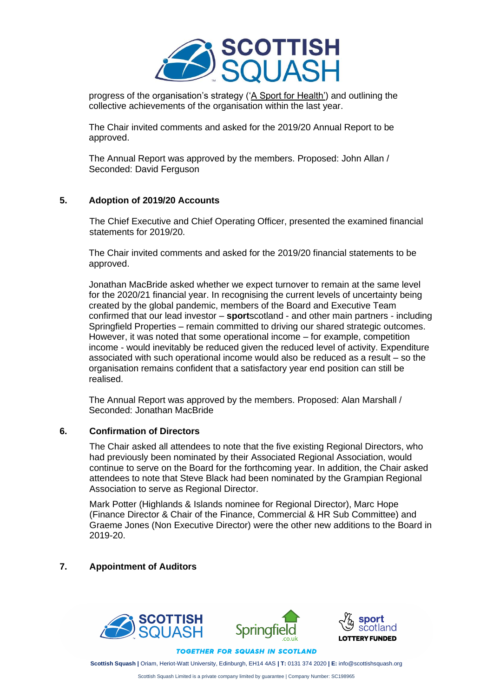

progress of the organisation's strategy (['A Sport for Health'\)](https://www.scottishsquash.org/wp-content/uploads/2019/04/ADM01-P02-Scottish-Squash-Strategic-Plan-2019-23-A-Sport-for-Health.pdf) and outlining the collective achievements of the organisation within the last year.

The Chair invited comments and asked for the 2019/20 Annual Report to be approved.

The Annual Report was approved by the members. Proposed: John Allan / Seconded: David Ferguson

#### **5. Adoption of 2019/20 Accounts**

The Chief Executive and Chief Operating Officer, presented the examined financial statements for 2019/20.

The Chair invited comments and asked for the 2019/20 financial statements to be approved.

Jonathan MacBride asked whether we expect turnover to remain at the same level for the 2020/21 financial year. In recognising the current levels of uncertainty being created by the global pandemic, members of the Board and Executive Team confirmed that our lead investor – **sport**scotland - and other main partners - including Springfield Properties – remain committed to driving our shared strategic outcomes. However, it was noted that some operational income – for example, competition income - would inevitably be reduced given the reduced level of activity. Expenditure associated with such operational income would also be reduced as a result – so the organisation remains confident that a satisfactory year end position can still be realised.

The Annual Report was approved by the members. Proposed: Alan Marshall / Seconded: Jonathan MacBride

#### **6. Confirmation of Directors**

The Chair asked all attendees to note that the five existing Regional Directors, who had previously been nominated by their Associated Regional Association, would continue to serve on the Board for the forthcoming year. In addition, the Chair asked attendees to note that Steve Black had been nominated by the Grampian Regional Association to serve as Regional Director.

Mark Potter (Highlands & Islands nominee for Regional Director), Marc Hope (Finance Director & Chair of the Finance, Commercial & HR Sub Committee) and Graeme Jones (Non Executive Director) were the other new additions to the Board in 2019-20.

## **7. Appointment of Auditors**



**TOGETHER FOR SQUASH IN SCOTLAND Scottish Squash |** Oriam, Heriot-Watt University, Edinburgh, EH14 4AS **| T:** 0131 374 2020 **| E:** info@scottishsquash.org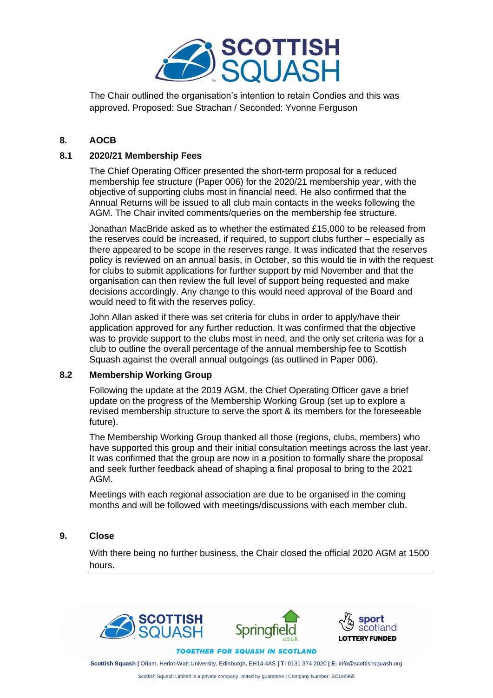

The Chair outlined the organisation's intention to retain Condies and this was approved. Proposed: Sue Strachan / Seconded: Yvonne Ferguson

## **8. AOCB**

## **8.1 2020/21 Membership Fees**

The Chief Operating Officer presented the short-term proposal for a reduced membership fee structure (Paper 006) for the 2020/21 membership year, with the objective of supporting clubs most in financial need. He also confirmed that the Annual Returns will be issued to all club main contacts in the weeks following the AGM. The Chair invited comments/queries on the membership fee structure.

Jonathan MacBride asked as to whether the estimated £15,000 to be released from the reserves could be increased, if required, to support clubs further – especially as there appeared to be scope in the reserves range. It was indicated that the reserves policy is reviewed on an annual basis, in October, so this would tie in with the request for clubs to submit applications for further support by mid November and that the organisation can then review the full level of support being requested and make decisions accordingly. Any change to this would need approval of the Board and would need to fit with the reserves policy.

John Allan asked if there was set criteria for clubs in order to apply/have their application approved for any further reduction. It was confirmed that the objective was to provide support to the clubs most in need, and the only set criteria was for a club to outline the overall percentage of the annual membership fee to Scottish Squash against the overall annual outgoings (as outlined in Paper 006).

#### **8.2 Membership Working Group**

Following the update at the 2019 AGM, the Chief Operating Officer gave a brief update on the progress of the Membership Working Group (set up to explore a revised membership structure to serve the sport & its members for the foreseeable future).

The Membership Working Group thanked all those (regions, clubs, members) who have supported this group and their initial consultation meetings across the last year. It was confirmed that the group are now in a position to formally share the proposal and seek further feedback ahead of shaping a final proposal to bring to the 2021 AGM.

Meetings with each regional association are due to be organised in the coming months and will be followed with meetings/discussions with each member club.

## **9. Close**

With there being no further business, the Chair closed the official 2020 AGM at 1500 hours.



**TOGETHER FOR SQUASH IN SCOTLAND** 

**Scottish Squash |** Oriam, Heriot-Watt University, Edinburgh, EH14 4AS **| T:** 0131 374 2020 **| E:** info@scottishsquash.org

Scottish Squash Limited is a private company limited by guarantee | Company Number: SC198965